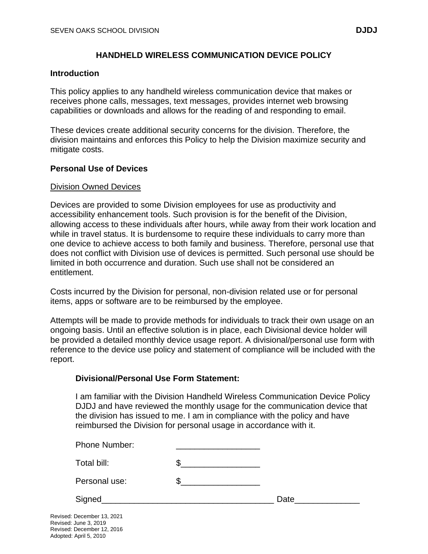# **HANDHELD WIRELESS COMMUNICATION DEVICE POLICY**

#### **Introduction**

This policy applies to any handheld wireless communication device that makes or receives phone calls, messages, text messages, provides internet web browsing capabilities or downloads and allows for the reading of and responding to email.

These devices create additional security concerns for the division. Therefore, the division maintains and enforces this Policy to help the Division maximize security and mitigate costs.

## **Personal Use of Devices**

#### Division Owned Devices

Devices are provided to some Division employees for use as productivity and accessibility enhancement tools. Such provision is for the benefit of the Division, allowing access to these individuals after hours, while away from their work location and while in travel status. It is burdensome to require these individuals to carry more than one device to achieve access to both family and business. Therefore, personal use that does not conflict with Division use of devices is permitted. Such personal use should be limited in both occurrence and duration. Such use shall not be considered an entitlement.

Costs incurred by the Division for personal, non-division related use or for personal items, apps or software are to be reimbursed by the employee.

Attempts will be made to provide methods for individuals to track their own usage on an ongoing basis. Until an effective solution is in place, each Divisional device holder will be provided a detailed monthly device usage report. A divisional/personal use form with reference to the device use policy and statement of compliance will be included with the report.

#### **Divisional/Personal Use Form Statement:**

I am familiar with the Division Handheld Wireless Communication Device Policy DJDJ and have reviewed the monthly usage for the communication device that the division has issued to me. I am in compliance with the policy and have reimbursed the Division for personal usage in accordance with it.

| Phone Number: |      |
|---------------|------|
| Total bill:   |      |
| Personal use: |      |
| Signed        | Date |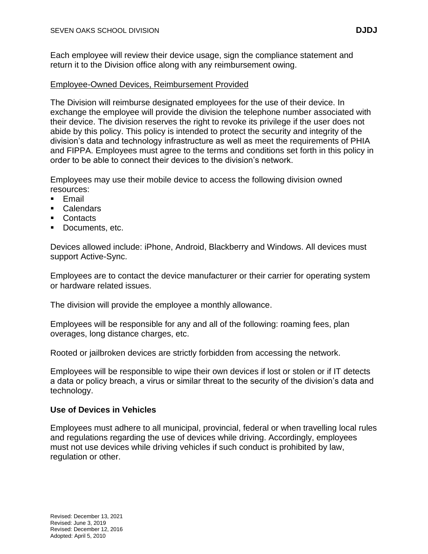Each employee will review their device usage, sign the compliance statement and return it to the Division office along with any reimbursement owing.

## Employee-Owned Devices, Reimbursement Provided

The Division will reimburse designated employees for the use of their device. In exchange the employee will provide the division the telephone number associated with their device. The division reserves the right to revoke its privilege if the user does not abide by this policy. This policy is intended to protect the security and integrity of the division's data and technology infrastructure as well as meet the requirements of PHIA and FIPPA. Employees must agree to the terms and conditions set forth in this policy in order to be able to connect their devices to the division's network.

Employees may use their mobile device to access the following division owned resources:

- Email
- Calendars
- Contacts
- Documents, etc.

Devices allowed include: iPhone, Android, Blackberry and Windows. All devices must support Active-Sync.

Employees are to contact the device manufacturer or their carrier for operating system or hardware related issues.

The division will provide the employee a monthly allowance.

Employees will be responsible for any and all of the following: roaming fees, plan overages, long distance charges, etc.

Rooted or jailbroken devices are strictly forbidden from accessing the network.

Employees will be responsible to wipe their own devices if lost or stolen or if IT detects a data or policy breach, a virus or similar threat to the security of the division's data and technology.

## **Use of Devices in Vehicles**

Employees must adhere to all municipal, provincial, federal or when travelling local rules and regulations regarding the use of devices while driving. Accordingly, employees must not use devices while driving vehicles if such conduct is prohibited by law, regulation or other.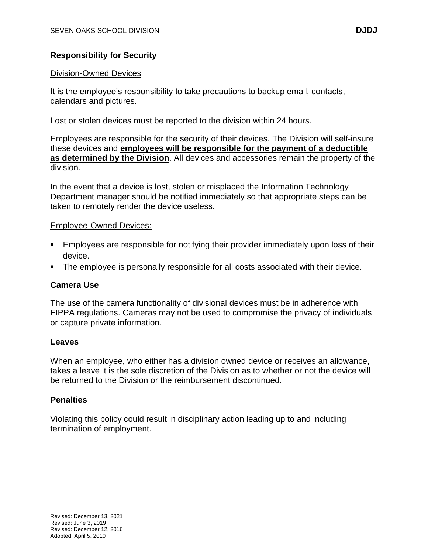# **Responsibility for Security**

#### Division-Owned Devices

It is the employee's responsibility to take precautions to backup email, contacts, calendars and pictures.

Lost or stolen devices must be reported to the division within 24 hours.

Employees are responsible for the security of their devices. The Division will self-insure these devices and **employees will be responsible for the payment of a deductible as determined by the Division**. All devices and accessories remain the property of the division.

In the event that a device is lost, stolen or misplaced the Information Technology Department manager should be notified immediately so that appropriate steps can be taken to remotely render the device useless.

## Employee-Owned Devices:

- **Employees are responsible for notifying their provider immediately upon loss of their** device.
- The employee is personally responsible for all costs associated with their device.

## **Camera Use**

The use of the camera functionality of divisional devices must be in adherence with FIPPA regulations. Cameras may not be used to compromise the privacy of individuals or capture private information.

#### **Leaves**

When an employee, who either has a division owned device or receives an allowance, takes a leave it is the sole discretion of the Division as to whether or not the device will be returned to the Division or the reimbursement discontinued.

#### **Penalties**

Violating this policy could result in disciplinary action leading up to and including termination of employment.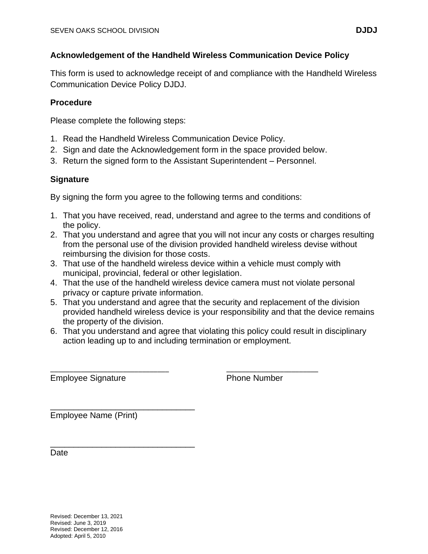This form is used to acknowledge receipt of and compliance with the Handheld Wireless Communication Device Policy DJDJ.

# **Procedure**

Please complete the following steps:

- 1. Read the Handheld Wireless Communication Device Policy.
- 2. Sign and date the Acknowledgement form in the space provided below.
- 3. Return the signed form to the Assistant Superintendent Personnel.

# **Signature**

By signing the form you agree to the following terms and conditions:

- 1. That you have received, read, understand and agree to the terms and conditions of the policy.
- 2. That you understand and agree that you will not incur any costs or charges resulting from the personal use of the division provided handheld wireless devise without reimbursing the division for those costs.
- 3. That use of the handheld wireless device within a vehicle must comply with municipal, provincial, federal or other legislation.

\_\_\_\_\_\_\_\_\_\_\_\_\_\_\_\_\_\_\_\_\_\_\_\_\_\_\_\_\_\_\_ \_\_\_\_\_\_\_\_\_\_\_\_\_\_\_\_\_\_\_\_\_\_\_\_

- 4. That the use of the handheld wireless device camera must not violate personal privacy or capture private information.
- 5. That you understand and agree that the security and replacement of the division provided handheld wireless device is your responsibility and that the device remains the property of the division.
- 6. That you understand and agree that violating this policy could result in disciplinary action leading up to and including termination or employment.

Employee Signature **Phone Number** 

\_\_\_\_\_\_\_\_\_\_\_\_\_\_\_\_\_\_\_\_\_\_\_\_\_\_\_\_\_\_\_ Employee Name (Print)

\_\_\_\_\_\_\_\_\_\_\_\_\_\_\_\_\_\_\_\_\_\_\_\_\_\_\_\_\_\_\_

Date